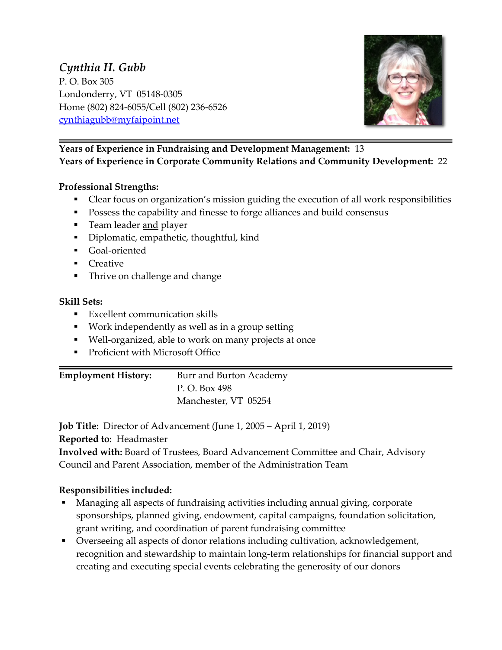## *Cynthia H. Gubb* P. O. Box 305 Londonderry, VT 05148-0305 Home (802) 824-6055/Cell (802) 236-6526 cynthiagubb@myfaipoint.net



### **Years of Experience in Fundraising and Development Management:** 13 **Years of Experience in Corporate Community Relations and Community Development:** 22

### **Professional Strengths:**

- Clear focus on organization's mission guiding the execution of all work responsibilities
- § Possess the capability and finesse to forge alliances and build consensus
- **•** Team leader and player
- § Diplomatic, empathetic, thoughtful, kind
- § Goal-oriented
- Creative
- Thrive on challenge and change

#### **Skill Sets:**

- Excellent communication skills
- Work independently as well as in a group setting
- Well-organized, able to work on many projects at once
- Proficient with Microsoft Office

# **Employment History:** Burr and Burton Academy

P. O. Box 498 Manchester, VT 05254

**Job Title:** Director of Advancement (June 1, 2005 – April 1, 2019) **Reported to:** Headmaster

**Involved with:** Board of Trustees, Board Advancement Committee and Chair, Advisory Council and Parent Association, member of the Administration Team

### **Responsibilities included:**

- § Managing all aspects of fundraising activities including annual giving, corporate sponsorships, planned giving, endowment, capital campaigns, foundation solicitation, grant writing, and coordination of parent fundraising committee
- § Overseeing all aspects of donor relations including cultivation, acknowledgement, recognition and stewardship to maintain long-term relationships for financial support and creating and executing special events celebrating the generosity of our donors